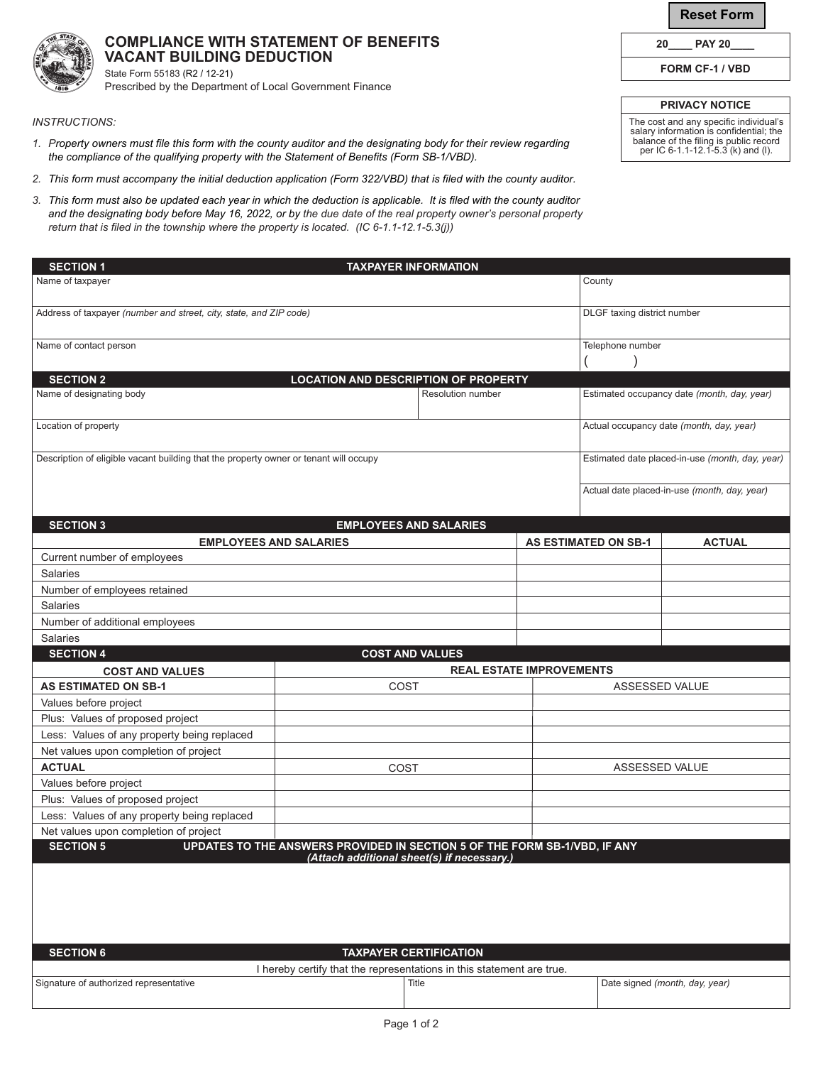**Reset Form**

**20\_\_\_\_ PAY 20\_\_\_\_**

**FORM CF-1 / VBD**

**PRIVACY NOTICE**

The cost and any specific individual's salary information is confidential; the balance of the filing is public record per IC 6-1.1-12.1-5.3 (k) and (l).

| <b>COMPLIANCE WITH STATEMENT OF BENEFITS</b> |
|----------------------------------------------|
| VACANT BUILDING DEDUCTION                    |

State Form 55183 (R2 / 12-21) Prescribed by the Department of Local Government Finance

## *INSTRUCTIONS:*

- *1. Property owners must file this form with the county auditor and the designating body for their review regarding the compliance of the qualifying property with the Statement of Benefits (Form SB-1/VBD).*
- *2. This form must accompany the initial deduction application (Form 322/VBD) that is filed with the county auditor.*
- *3. This form must also be updated each year in which the deduction is applicable. It is filed with the county auditor and the designating body before May 16, 2022, or by the due date of the real property owner's personal property return that is filed in the township where the property is located. (IC 6-1.1-12.1-5.3(j))*

| <b>SECTION 1</b><br><b>TAXPAYER INFORMATION</b>                                                                                                            |                                                 |                                             |  |                             |                                              |  |  |  |
|------------------------------------------------------------------------------------------------------------------------------------------------------------|-------------------------------------------------|---------------------------------------------|--|-----------------------------|----------------------------------------------|--|--|--|
| Name of taxpayer                                                                                                                                           |                                                 |                                             |  | County                      |                                              |  |  |  |
|                                                                                                                                                            |                                                 |                                             |  |                             |                                              |  |  |  |
| Address of taxpayer (number and street, city, state, and ZIP code)                                                                                         |                                                 | DLGF taxing district number                 |  |                             |                                              |  |  |  |
|                                                                                                                                                            |                                                 |                                             |  |                             |                                              |  |  |  |
| Name of contact person                                                                                                                                     |                                                 | Telephone number                            |  |                             |                                              |  |  |  |
|                                                                                                                                                            |                                                 |                                             |  |                             |                                              |  |  |  |
| <b>SECTION 2</b><br><b>LOCATION AND DESCRIPTION OF PROPERTY</b>                                                                                            |                                                 |                                             |  |                             |                                              |  |  |  |
| Name of designating body                                                                                                                                   | Resolution number                               | Estimated occupancy date (month, day, year) |  |                             |                                              |  |  |  |
|                                                                                                                                                            |                                                 |                                             |  |                             |                                              |  |  |  |
| Location of property                                                                                                                                       |                                                 | Actual occupancy date (month, day, year)    |  |                             |                                              |  |  |  |
|                                                                                                                                                            |                                                 |                                             |  |                             |                                              |  |  |  |
| Description of eligible vacant building that the property owner or tenant will occupy                                                                      | Estimated date placed-in-use (month, day, year) |                                             |  |                             |                                              |  |  |  |
|                                                                                                                                                            |                                                 |                                             |  |                             |                                              |  |  |  |
|                                                                                                                                                            |                                                 |                                             |  |                             | Actual date placed-in-use (month, day, year) |  |  |  |
|                                                                                                                                                            |                                                 |                                             |  |                             |                                              |  |  |  |
| <b>SECTION 3</b>                                                                                                                                           | <b>EMPLOYEES AND SALARIES</b>                   |                                             |  |                             |                                              |  |  |  |
| <b>EMPLOYEES AND SALARIES</b>                                                                                                                              |                                                 |                                             |  | <b>AS ESTIMATED ON SB-1</b> | <b>ACTUAL</b>                                |  |  |  |
| Current number of employees                                                                                                                                |                                                 |                                             |  |                             |                                              |  |  |  |
| <b>Salaries</b>                                                                                                                                            |                                                 |                                             |  |                             |                                              |  |  |  |
| Number of employees retained                                                                                                                               |                                                 |                                             |  |                             |                                              |  |  |  |
| <b>Salaries</b>                                                                                                                                            |                                                 |                                             |  |                             |                                              |  |  |  |
| Number of additional employees                                                                                                                             |                                                 |                                             |  |                             |                                              |  |  |  |
| <b>Salaries</b>                                                                                                                                            |                                                 |                                             |  |                             |                                              |  |  |  |
| <b>SECTION 4</b>                                                                                                                                           | <b>COST AND VALUES</b>                          |                                             |  |                             |                                              |  |  |  |
| <b>COST AND VALUES</b>                                                                                                                                     | <b>REAL ESTATE IMPROVEMENTS</b>                 |                                             |  |                             |                                              |  |  |  |
| <b>AS ESTIMATED ON SB-1</b>                                                                                                                                | COST                                            |                                             |  | ASSESSED VALUE              |                                              |  |  |  |
| Values before project                                                                                                                                      |                                                 |                                             |  |                             |                                              |  |  |  |
| Plus: Values of proposed project                                                                                                                           |                                                 |                                             |  |                             |                                              |  |  |  |
| Less: Values of any property being replaced<br>Net values upon completion of project                                                                       |                                                 |                                             |  |                             |                                              |  |  |  |
| <b>ACTUAL</b>                                                                                                                                              | COST                                            |                                             |  | ASSESSED VALUE              |                                              |  |  |  |
| Values before project                                                                                                                                      |                                                 |                                             |  |                             |                                              |  |  |  |
| Plus: Values of proposed project                                                                                                                           |                                                 |                                             |  |                             |                                              |  |  |  |
| Less: Values of any property being replaced                                                                                                                |                                                 |                                             |  |                             |                                              |  |  |  |
| Net values upon completion of project                                                                                                                      |                                                 |                                             |  |                             |                                              |  |  |  |
| <b>SECTION 5</b><br>UPDATES TO THE ANSWERS PROVIDED IN SECTION 5 OF THE FORM SB-1/VBD, IF ANY                                                              |                                                 |                                             |  |                             |                                              |  |  |  |
| Attach additional sheet(s) if hecessary                                                                                                                    |                                                 |                                             |  |                             |                                              |  |  |  |
|                                                                                                                                                            |                                                 |                                             |  |                             |                                              |  |  |  |
|                                                                                                                                                            |                                                 |                                             |  |                             |                                              |  |  |  |
|                                                                                                                                                            |                                                 |                                             |  |                             |                                              |  |  |  |
|                                                                                                                                                            |                                                 |                                             |  |                             |                                              |  |  |  |
|                                                                                                                                                            |                                                 |                                             |  |                             |                                              |  |  |  |
| <b>SECTION 6</b><br><b>TAXPAYER CERTIFICATION</b>                                                                                                          |                                                 |                                             |  |                             |                                              |  |  |  |
| I hereby certify that the representations in this statement are true.<br>Signature of authorized representative<br>Date signed (month, day, year)<br>Title |                                                 |                                             |  |                             |                                              |  |  |  |
|                                                                                                                                                            |                                                 |                                             |  |                             |                                              |  |  |  |